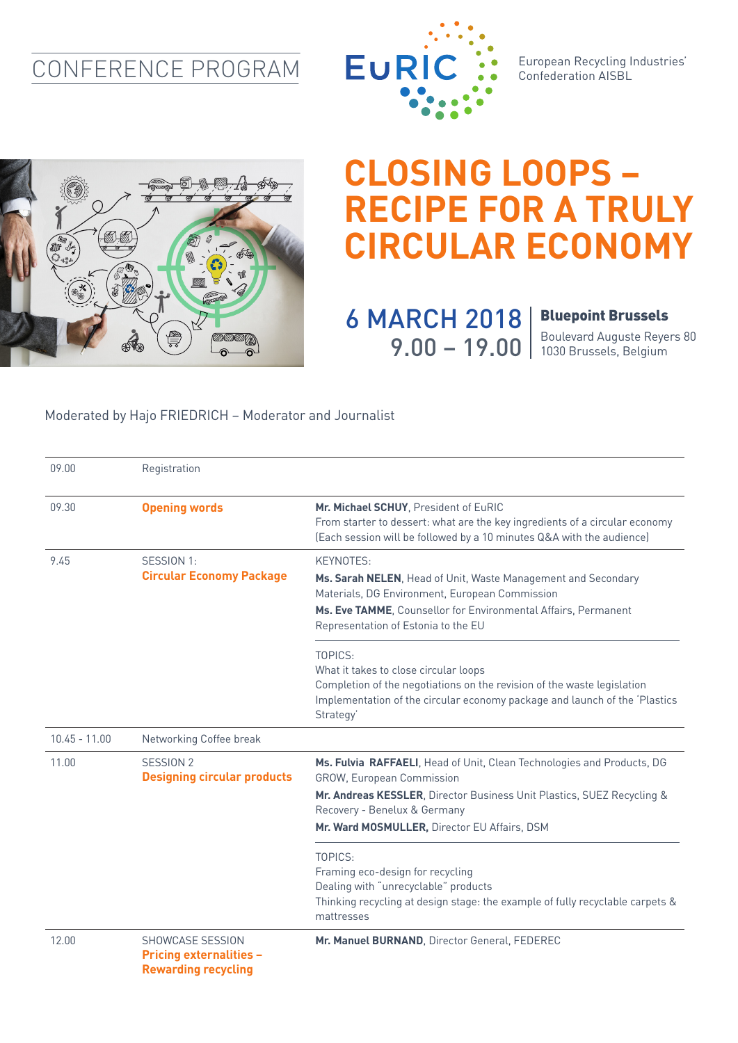## CONFERENCE PROGRAM



European Recycling Industries' Confederation AISBL



## **CLOSING LOOPS – RECIPE FOR A TRULY CIRCULAR ECONOMY**

6 MARCH 2018 9.00 - 19.00 | Boulevard Auguste Reye

## Bluepoint Brussels

Boulevard Auguste Reyers 80

## Moderated by Hajo FRIEDRICH – Moderator and Journalist

| 09.00           | Registration                                                                     |                                                                                                                                                                                                                                       |
|-----------------|----------------------------------------------------------------------------------|---------------------------------------------------------------------------------------------------------------------------------------------------------------------------------------------------------------------------------------|
| 09.30           | <b>Opening words</b>                                                             | Mr. Michael SCHUY, President of EuRIC<br>From starter to dessert: what are the key ingredients of a circular economy<br>(Each session will be followed by a 10 minutes Q&A with the audience)                                         |
| 9.45            | SESSION 1:<br><b>Circular Economy Package</b>                                    | KEYNOTES:<br>Ms. Sarah NELEN, Head of Unit, Waste Management and Secondary<br>Materials, DG Environment, European Commission<br>Ms. Eve TAMME, Counsellor for Environmental Affairs, Permanent<br>Representation of Estonia to the EU |
|                 |                                                                                  | TOPICS:<br>What it takes to close circular loops<br>Completion of the negotiations on the revision of the waste legislation<br>Implementation of the circular economy package and launch of the 'Plastics<br>Strategy'                |
| $10.45 - 11.00$ | Networking Coffee break                                                          |                                                                                                                                                                                                                                       |
| 11.00           | SESSION 2<br><b>Designing circular products</b>                                  | Ms. Fulvia RAFFAELI, Head of Unit, Clean Technologies and Products, DG<br><b>GROW, European Commission</b>                                                                                                                            |
|                 |                                                                                  | Mr. Andreas KESSLER, Director Business Unit Plastics, SUEZ Recycling &<br>Recovery - Benelux & Germany<br>Mr. Ward MOSMULLER, Director EU Affairs, DSM                                                                                |
|                 |                                                                                  | TOPICS:<br>Framing eco-design for recycling<br>Dealing with "unrecyclable" products<br>Thinking recycling at design stage: the example of fully recyclable carpets &<br>mattresses                                                    |
| 12.00           | SHOWCASE SESSION<br><b>Pricing externalities -</b><br><b>Rewarding recycling</b> | Mr. Manuel BURNAND, Director General, FEDEREC                                                                                                                                                                                         |